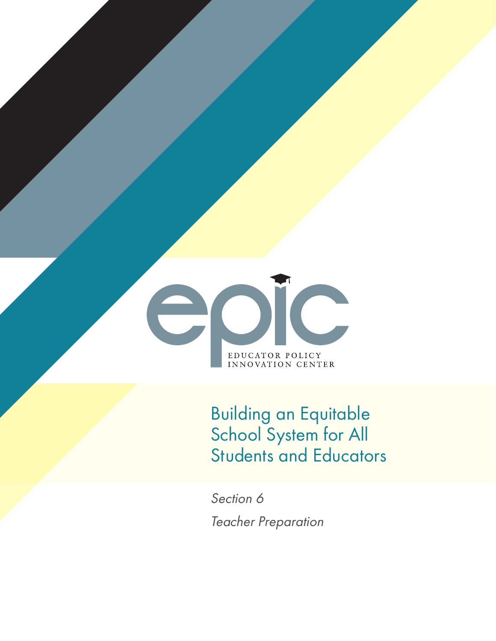

Building an Equitable School System for All Students and Educators

Section 6 Teacher Preparation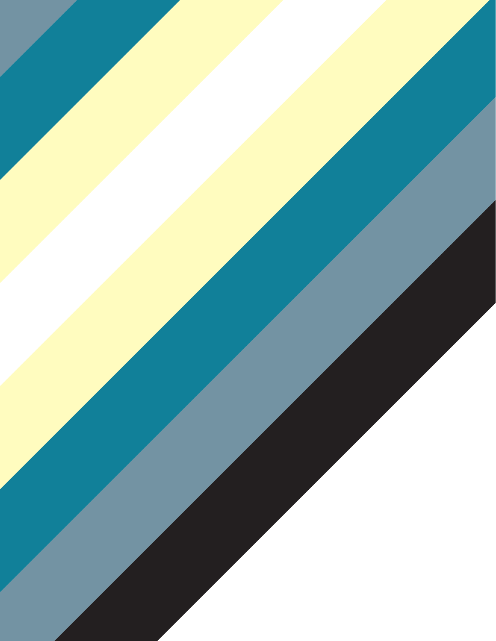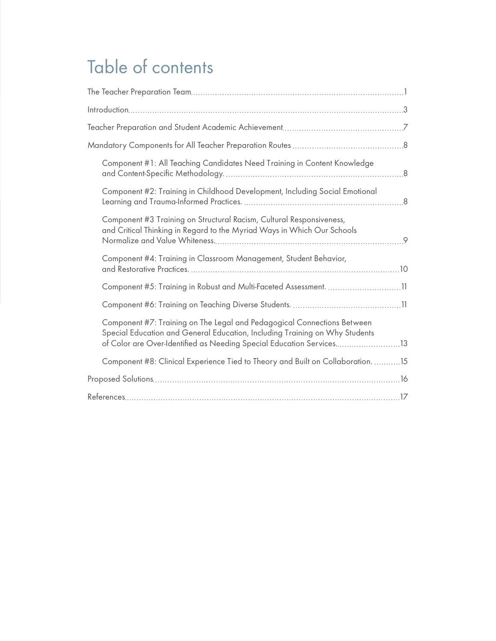# Table of contents

| Component #1: All Teaching Candidates Need Training in Content Knowledge                                                                                                                                                       |  |
|--------------------------------------------------------------------------------------------------------------------------------------------------------------------------------------------------------------------------------|--|
| Component #2: Training in Childhood Development, Including Social Emotional                                                                                                                                                    |  |
| Component #3 Training on Structural Racism, Cultural Responsiveness,<br>and Critical Thinking in Regard to the Myriad Ways in Which Our Schools                                                                                |  |
| Component #4: Training in Classroom Management, Student Behavior,                                                                                                                                                              |  |
| Component #5: Training in Robust and Multi-Faceted Assessment. 11                                                                                                                                                              |  |
|                                                                                                                                                                                                                                |  |
| Component #7: Training on The Legal and Pedagogical Connections Between<br>Special Education and General Education, Including Training on Why Students<br>of Color are Over-Identified as Needing Special Education Services13 |  |
| Component #8: Clinical Experience Tied to Theory and Built on Collaboration. 15                                                                                                                                                |  |
|                                                                                                                                                                                                                                |  |
|                                                                                                                                                                                                                                |  |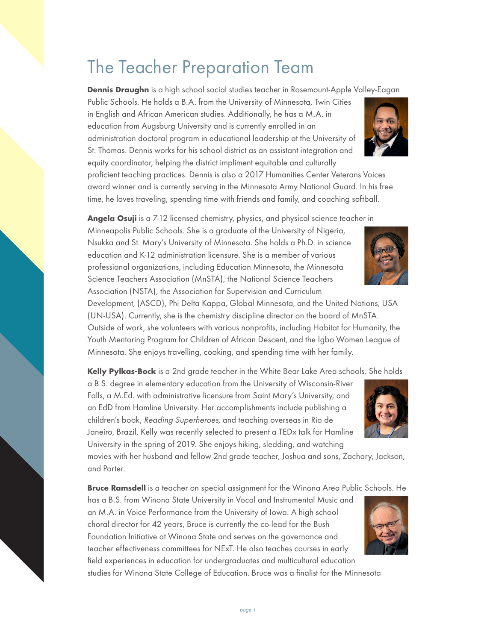### The Teacher Preparation Team

**Dennis Draughn** is a high school social studies teacher in Rosemount-Apple Valley-Eagan

Public Schools. He holds a B.A. from the University of Minnesota, Twin Cities in English and African American studies. Additionally, he has a M.A. in education from Augsburg University and is currently enrolled in an administration doctoral program in educational leadership at the University of St. Thomas. Dennis works for his school district as an assistant integration and equity coordinator, helping the district impliment equitable and culturally proficient teaching practices. Dennis is also a 2017 Humanities Center Veterans Voices award winner and is currently serving in the Minnesota Army National Guard. In his free time, he loves traveling, spending time with friends and family, and coaching softball.

**Angela Osuji** is a 7-12 licensed chemistry, physics, and physical science teacher in

Minneapolis Public Schools. She is a graduate of the University of Nigeria, Nsukka and St. Mary's University of Minnesota. She holds a Ph.D. in science education and K-12 administration licensure. She is a member of various professional organizations, including Education Minnesota, the Minnesota Science Teachers Association (MnSTA), the National Science Teachers Association (NSTA), the Association for Supervision and Curriculum

Development, (ASCD), Phi Delta Kappa, Global Minnesota, and the United Nations, USA (UN-USA). Currently, she is the chemistry discipline director on the board of MnSTA.

Outside of work, she volunteers with various nonprofits, including Habitat for Humanity, the Youth Mentoring Program for Children of African Descent, and the Igbo Women League of Minnesota. She enjoys travelling, cooking, and spending time with her family.

**Kelly Pylkas-Bock** is a 2nd grade teacher in the White Bear Lake Area schools. She holds

a B.S. degree in elementary education from the University of Wisconsin-River Falls, a M.Ed. with administrative licensure from Saint Mary's University, and an EdD from Hamline University. Her accomplishments include publishing a children's book, Reading Superheroes, and teaching overseas in Rio de Janeiro, Brazil. Kelly was recently selected to present a TEDx talk for Hamline University in the spring of 2019. She enjoys hiking, sledding, and watching

movies with her husband and fellow 2nd grade teacher, Joshua and sons, Zachary, Jackson, and Porter.

**Bruce Ramsdell** is a teacher on special assignment for the Winona Area Public Schools. He

has a B.S. from Winona State University in Vocal and Instrumental Music and an M.A. in Voice Performance from the University of Iowa. A high school choral director for 42 years, Bruce is currently the co-lead for the Bush Foundation Initiative at Winona State and serves on the governance and teacher effectiveness committees for NExT. He also teaches courses in early field experiences in education for undergraduates and multicultural education

studies for Winona State College of Education. Bruce was a finalist for the Minnesota





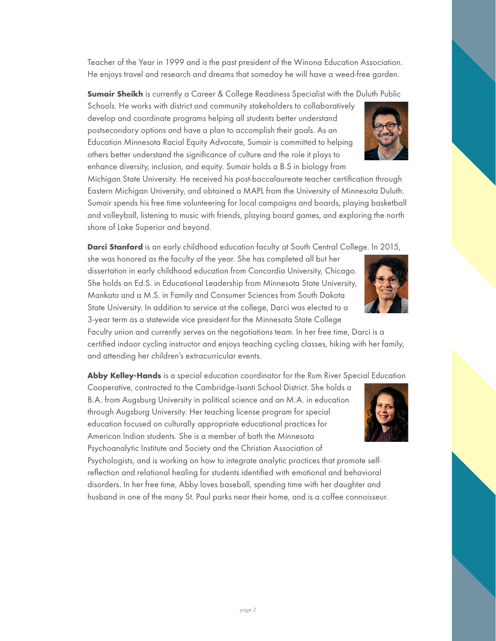Teacher of the Year in 1999 and is the past president of the Winona Education Association. He enjoys travel and research and dreams that someday he will have a weed-free garden.

**Sumair Sheikh** is currently a Career & College Readiness Specialist with the Duluth Public

Schools. He works with district and community stakeholders to collaboratively develop and coordinate programs helping all students better understand postsecondary options and have a plan to accomplish their goals. As an Education Minnesota Racial Equity Advocate, Sumair is committed to helping others better understand the significance of culture and the role it plays to enhance diversity, inclusion, and equity. Sumair holds a B.S in biology from

Michigan State University. He received his post-baccalaureate teacher certification through Eastern Michigan University, and obtained a MAPL from the University of Minnesota Duluth. Sumair spends his free time volunteering for local campaigns and boards, playing basketball and volleyball, listening to music with friends, playing board games, and exploring the north shore of Lake Superior and beyond.

**Darci Stanford** is an early childhood education faculty at South Central College. In 2015,

she was honored as the faculty of the year. She has completed all but her dissertation in early childhood education from Concordia University, Chicago. She holds an Ed.S. in Educational Leadership from Minnesota State University, Mankato and a M.S. in Family and Consumer Sciences from South Dakota State University. In addition to service at the college, Darci was elected to a 3-year term as a statewide vice president for the Minnesota State College

Faculty union and currently serves on the negotiations team. In her free time, Darci is a certified indoor cycling instructor and enjoys teaching cycling classes, hiking with her family, and attending her children's extracurricular events.

**Abby Kelley-Hands** is a special education coordinator for the Rum River Special Education

Cooperative, contracted to the Cambridge-Isanti School District. She holds a B.A. from Augsburg University in political science and an M.A. in education through Augsburg University. Her teaching license program for special education focused on culturally appropriate educational practices for American Indian students. She is a member of both the Minnesota Psychoanalytic Institute and Society and the Christian Association of

Psychologists, and is working on how to integrate analytic practices that promote selfreflection and relational healing for students identified with emotional and behavioral disorders. In her free time, Abby loves baseball, spending time with her daughter and husband in one of the many St. Paul parks near their home, and is a coffee connoisseur.





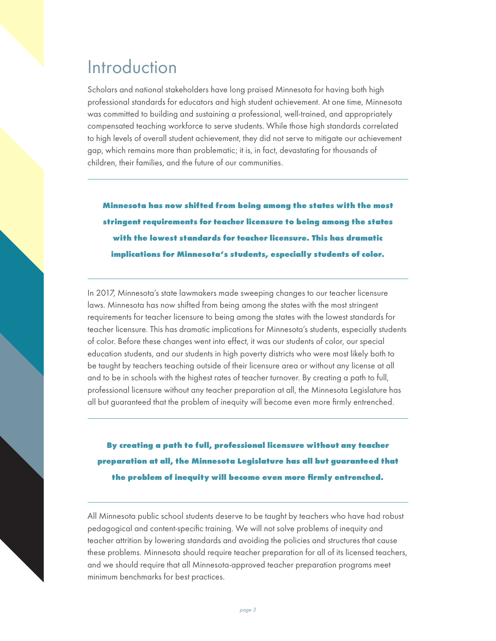### Introduction

Scholars and national stakeholders have long praised Minnesota for having both high professional standards for educators and high student achievement. At one time, Minnesota was committed to building and sustaining a professional, well-trained, and appropriately compensated teaching workforce to serve students. While those high standards correlated to high levels of overall student achievement, they did not serve to mitigate our achievement gap, which remains more than problematic; it is, in fact, devastating for thousands of children, their families, and the future of our communities.

**Minnesota has now shifted from being among the states with the most stringent requirements for teacher licensure to being among the states with the lowest standards for teacher licensure. This has dramatic implications for Minnesota's students, especially students of color.**

In 2017, Minnesota's state lawmakers made sweeping changes to our teacher licensure laws. Minnesota has now shifted from being among the states with the most stringent requirements for teacher licensure to being among the states with the lowest standards for teacher licensure. This has dramatic implications for Minnesota's students, especially students of color. Before these changes went into effect, it was our students of color, our special education students, and our students in high poverty districts who were most likely both to be taught by teachers teaching outside of their licensure area or without any license at all and to be in schools with the highest rates of teacher turnover. By creating a path to full, professional licensure without any teacher preparation at all, the Minnesota Legislature has all but guaranteed that the problem of inequity will become even more firmly entrenched.

**By creating a path to full, professional licensure without any teacher preparation at all, the Minnesota Legislature has all but guaranteed that the problem of inequity will become even more firmly entrenched.** 

All Minnesota public school students deserve to be taught by teachers who have had robust pedagogical and content-specific training. We will not solve problems of inequity and teacher attrition by lowering standards and avoiding the policies and structures that cause these problems. Minnesota should require teacher preparation for all of its licensed teachers, and we should require that all Minnesota-approved teacher preparation programs meet minimum benchmarks for best practices.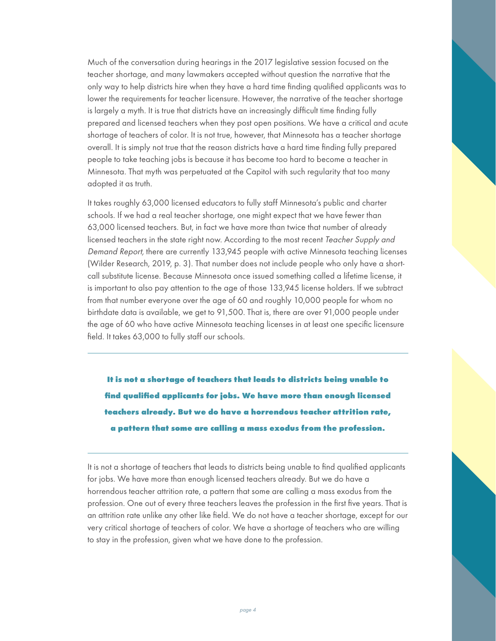Much of the conversation during hearings in the 2017 legislative session focused on the teacher shortage, and many lawmakers accepted without question the narrative that the only way to help districts hire when they have a hard time finding qualified applicants was to lower the requirements for teacher licensure. However, the narrative of the teacher shortage is largely a myth. It is true that districts have an increasingly difficult time finding fully prepared and licensed teachers when they post open positions. We have a critical and acute shortage of teachers of color. It is not true, however, that Minnesota has a teacher shortage overall. It is simply not true that the reason districts have a hard time finding fully prepared people to take teaching jobs is because it has become too hard to become a teacher in Minnesota. That myth was perpetuated at the Capitol with such regularity that too many adopted it as truth.

It takes roughly 63,000 licensed educators to fully staff Minnesota's public and charter schools. If we had a real teacher shortage, one might expect that we have fewer than 63,000 licensed teachers. But, in fact we have more than twice that number of already licensed teachers in the state right now. According to the most recent Teacher Supply and Demand Report, there are currently 133,945 people with active Minnesota teaching licenses (Wilder Research, 2019, p. 3). That number does not include people who only have a shortcall substitute license. Because Minnesota once issued something called a lifetime license, it is important to also pay attention to the age of those 133,945 license holders. If we subtract from that number everyone over the age of 60 and roughly 10,000 people for whom no birthdate data is available, we get to 91,500. That is, there are over 91,000 people under the age of 60 who have active Minnesota teaching licenses in at least one specific licensure field. It takes 63,000 to fully staff our schools.

**It is not a shortage of teachers that leads to districts being unable to find qualified applicants for jobs. We have more than enough licensed teachers already. But we do have a horrendous teacher attrition rate, a pattern that some are calling a mass exodus from the profession.**

It is not a shortage of teachers that leads to districts being unable to find qualified applicants for jobs. We have more than enough licensed teachers already. But we do have a horrendous teacher attrition rate, a pattern that some are calling a mass exodus from the profession. One out of every three teachers leaves the profession in the first five years. That is an attrition rate unlike any other like field. We do not have a teacher shortage, except for our very critical shortage of teachers of color. We have a shortage of teachers who are willing to stay in the profession, given what we have done to the profession.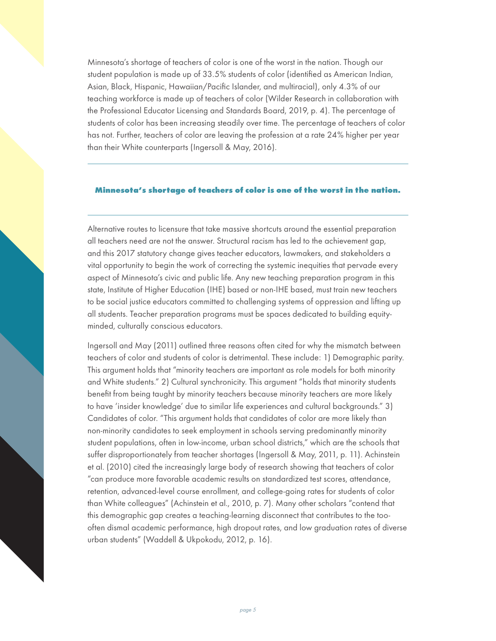Minnesota's shortage of teachers of color is one of the worst in the nation. Though our student population is made up of 33.5% students of color (identified as American Indian, Asian, Black, Hispanic, Hawaiian/Pacific Islander, and multiracial), only 4.3% of our teaching workforce is made up of teachers of color (Wilder Research in collaboration with the Professional Educator Licensing and Standards Board, 2019, p. 4). The percentage of students of color has been increasing steadily over time. The percentage of teachers of color has not. Further, teachers of color are leaving the profession at a rate 24% higher per year than their White counterparts (Ingersoll & May, 2016).

#### **Minnesota's shortage of teachers of color is one of the worst in the nation.**

Alternative routes to licensure that take massive shortcuts around the essential preparation all teachers need are not the answer. Structural racism has led to the achievement gap, and this 2017 statutory change gives teacher educators, lawmakers, and stakeholders a vital opportunity to begin the work of correcting the systemic inequities that pervade every aspect of Minnesota's civic and public life. Any new teaching preparation program in this state, Institute of Higher Education (IHE) based or non-IHE based, must train new teachers to be social justice educators committed to challenging systems of oppression and lifting up all students. Teacher preparation programs must be spaces dedicated to building equityminded, culturally conscious educators.

Ingersoll and May (2011) outlined three reasons often cited for why the mismatch between teachers of color and students of color is detrimental. These include: 1) Demographic parity. This argument holds that "minority teachers are important as role models for both minority and White students." 2) Cultural synchronicity. This argument "holds that minority students benefit from being taught by minority teachers because minority teachers are more likely to have 'insider knowledge' due to similar life experiences and cultural backgrounds." 3) Candidates of color. "This argument holds that candidates of color are more likely than non-minority candidates to seek employment in schools serving predominantly minority student populations, often in low-income, urban school districts," which are the schools that suffer disproportionately from teacher shortages (Ingersoll & May, 2011, p. 11). Achinstein et al. (2010) cited the increasingly large body of research showing that teachers of color "can produce more favorable academic results on standardized test scores, attendance, retention, advanced-level course enrollment, and college-going rates for students of color than White colleagues" (Achinstein et al., 2010, p. 7). Many other scholars "contend that this demographic gap creates a teaching-learning disconnect that contributes to the toooften dismal academic performance, high dropout rates, and low graduation rates of diverse urban students" (Waddell & Ukpokodu, 2012, p. 16).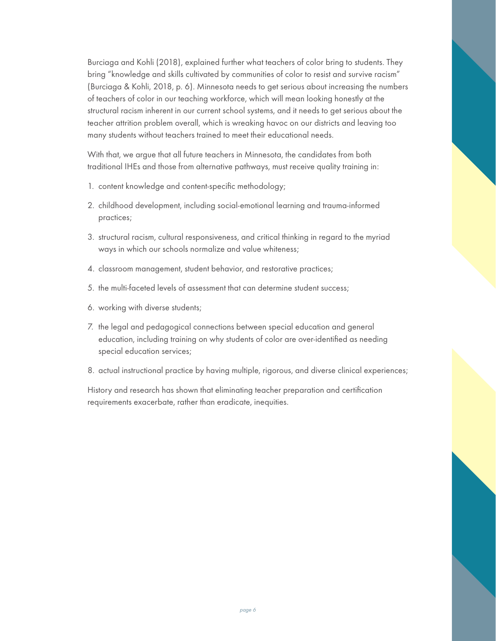Burciaga and Kohli (2018), explained further what teachers of color bring to students. They bring "knowledge and skills cultivated by communities of color to resist and survive racism" (Burciaga & Kohli, 2018, p. 6). Minnesota needs to get serious about increasing the numbers of teachers of color in our teaching workforce, which will mean looking honestly at the structural racism inherent in our current school systems, and it needs to get serious about the teacher attrition problem overall, which is wreaking havoc on our districts and leaving too many students without teachers trained to meet their educational needs.

With that, we argue that all future teachers in Minnesota, the candidates from both traditional IHEs and those from alternative pathways, must receive quality training in:

- 1. content knowledge and content-specific methodology;
- 2. childhood development, including social-emotional learning and trauma-informed practices;
- 3. structural racism, cultural responsiveness, and critical thinking in regard to the myriad ways in which our schools normalize and value whiteness;
- 4. classroom management, student behavior, and restorative practices;
- 5. the multi-faceted levels of assessment that can determine student success;
- 6. working with diverse students;
- 7. the legal and pedagogical connections between special education and general education, including training on why students of color are over-identified as needing special education services;
- 8. actual instructional practice by having multiple, rigorous, and diverse clinical experiences;

History and research has shown that eliminating teacher preparation and certification requirements exacerbate, rather than eradicate, inequities.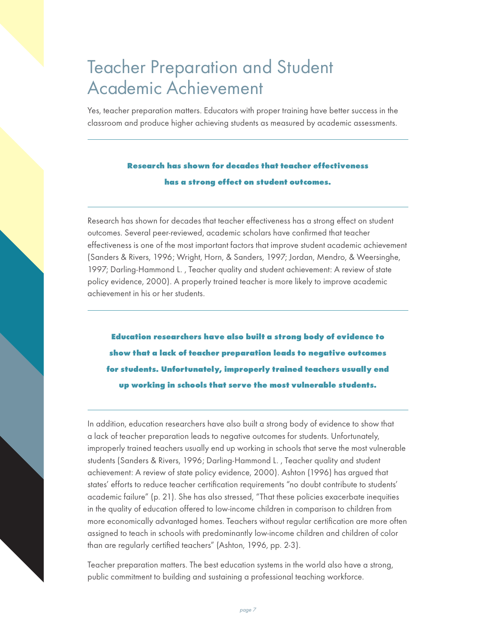### Teacher Preparation and Student Academic Achievement

Yes, teacher preparation matters. Educators with proper training have better success in the classroom and produce higher achieving students as measured by academic assessments.

#### **Research has shown for decades that teacher effectiveness has a strong effect on student outcomes.**

Research has shown for decades that teacher effectiveness has a strong effect on student outcomes. Several peer-reviewed, academic scholars have confirmed that teacher effectiveness is one of the most important factors that improve student academic achievement (Sanders & Rivers, 1996; Wright, Horn, & Sanders, 1997; Jordan, Mendro, & Weersinghe, 1997; Darling-Hammond L. , Teacher quality and student achievement: A review of state policy evidence, 2000). A properly trained teacher is more likely to improve academic achievement in his or her students.

**Education researchers have also built a strong body of evidence to show that a lack of teacher preparation leads to negative outcomes for students. Unfortunately, improperly trained teachers usually end up working in schools that serve the most vulnerable students.**

In addition, education researchers have also built a strong body of evidence to show that a lack of teacher preparation leads to negative outcomes for students. Unfortunately, improperly trained teachers usually end up working in schools that serve the most vulnerable students (Sanders & Rivers, 1996; Darling-Hammond L. , Teacher quality and student achievement: A review of state policy evidence, 2000). Ashton (1996) has argued that states' efforts to reduce teacher certification requirements "no doubt contribute to students' academic failure" (p. 21). She has also stressed, "That these policies exacerbate inequities in the quality of education offered to low-income children in comparison to children from more economically advantaged homes. Teachers without regular certification are more often assigned to teach in schools with predominantly low-income children and children of color than are regularly certified teachers" (Ashton, 1996, pp. 2-3).

Teacher preparation matters. The best education systems in the world also have a strong, public commitment to building and sustaining a professional teaching workforce.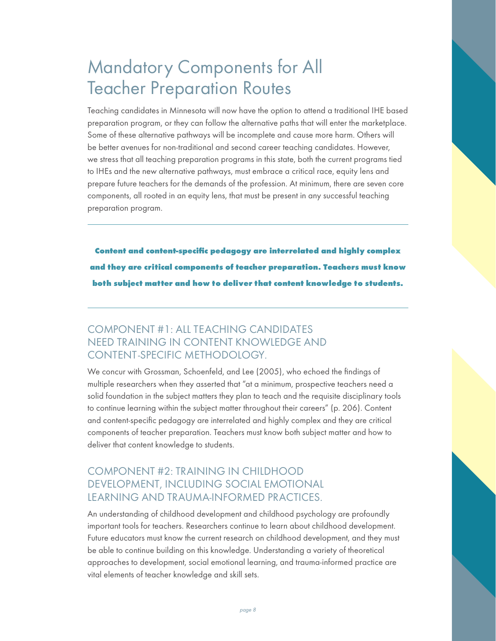### Mandatory Components for All Teacher Preparation Routes

Teaching candidates in Minnesota will now have the option to attend a traditional IHE based preparation program, or they can follow the alternative paths that will enter the marketplace. Some of these alternative pathways will be incomplete and cause more harm. Others will be better avenues for non-traditional and second career teaching candidates. However, we stress that all teaching preparation programs in this state, both the current programs tied to IHEs and the new alternative pathways, must embrace a critical race, equity lens and prepare future teachers for the demands of the profession. At minimum, there are seven core components, all rooted in an equity lens, that must be present in any successful teaching preparation program.

**Content and content-specific pedagogy are interrelated and highly complex and they are critical components of teacher preparation. Teachers must know both subject matter and how to deliver that content knowledge to students.**

#### COMPONENT #1: ALL TEACHING CANDIDATES NEED TRAINING IN CONTENT KNOWLEDGE AND CONTENT-SPECIFIC METHODOLOGY.

We concur with Grossman, Schoenfeld, and Lee (2005), who echoed the findings of multiple researchers when they asserted that "at a minimum, prospective teachers need a solid foundation in the subject matters they plan to teach and the requisite disciplinary tools to continue learning within the subject matter throughout their careers" (p. 206). Content and content-specific pedagogy are interrelated and highly complex and they are critical components of teacher preparation. Teachers must know both subject matter and how to deliver that content knowledge to students.

### COMPONENT #2: TRAINING IN CHILDHOOD DEVELOPMENT, INCLUDING SOCIAL EMOTIONAL LEARNING AND TRAUMA-INFORMED PRACTICES.

An understanding of childhood development and childhood psychology are profoundly important tools for teachers. Researchers continue to learn about childhood development. Future educators must know the current research on childhood development, and they must be able to continue building on this knowledge. Understanding a variety of theoretical approaches to development, social emotional learning, and trauma-informed practice are vital elements of teacher knowledge and skill sets.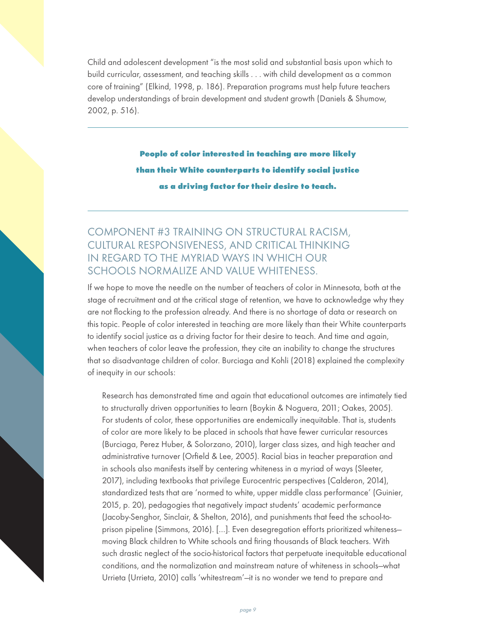Child and adolescent development "is the most solid and substantial basis upon which to build curricular, assessment, and teaching skills . . . with child development as a common core of training" (Elkind, 1998, p. 186). Preparation programs must help future teachers develop understandings of brain development and student growth (Daniels & Shumow, 2002, p. 516).

> **People of color interested in teaching are more likely than their White counterparts to identify social justice as a driving factor for their desire to teach.**

#### COMPONENT #3 TRAINING ON STRUCTURAL RACISM, CULTURAL RESPONSIVENESS, AND CRITICAL THINKING IN REGARD TO THE MYRIAD WAYS IN WHICH OUR SCHOOLS NORMALIZE AND VALUE WHITENESS.

If we hope to move the needle on the number of teachers of color in Minnesota, both at the stage of recruitment and at the critical stage of retention, we have to acknowledge why they are not flocking to the profession already. And there is no shortage of data or research on this topic. People of color interested in teaching are more likely than their White counterparts to identify social justice as a driving factor for their desire to teach. And time and again, when teachers of color leave the profession, they cite an inability to change the structures that so disadvantage children of color. Burciaga and Kohli (2018) explained the complexity of inequity in our schools:

Research has demonstrated time and again that educational outcomes are intimately tied to structurally driven opportunities to learn (Boykin & Noguera, 2011; Oakes, 2005). For students of color, these opportunities are endemically inequitable. That is, students of color are more likely to be placed in schools that have fewer curricular resources (Burciaga, Perez Huber, & Solorzano, 2010), larger class sizes, and high teacher and administrative turnover (Orfield & Lee, 2005). Racial bias in teacher preparation and in schools also manifests itself by centering whiteness in a myriad of ways (Sleeter, 2017), including textbooks that privilege Eurocentric perspectives (Calderon, 2014), standardized tests that are 'normed to white, upper middle class performance' (Guinier, 2015, p. 20), pedagogies that negatively impact students' academic performance (Jacoby-Senghor, Sinclair, & Shelton, 2016), and punishments that feed the school-toprison pipeline (Simmons, 2016). […]. Even desegregation efforts prioritized whiteness moving Black children to White schools and firing thousands of Black teachers. With such drastic neglect of the socio-historical factors that perpetuate inequitable educational conditions, and the normalization and mainstream nature of whiteness in schools—what Urrieta (Urrieta, 2010) calls 'whitestream'—it is no wonder we tend to prepare and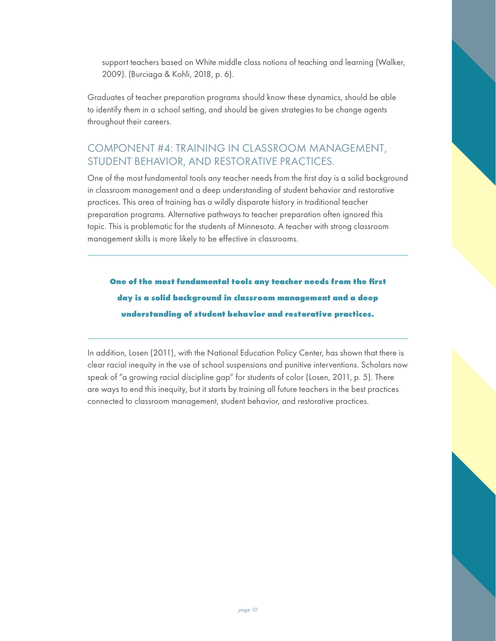support teachers based on White middle class notions of teaching and learning (Walker, 2009). (Burciaga & Kohli, 2018, p. 6).

Graduates of teacher preparation programs should know these dynamics, should be able to identify them in a school setting, and should be given strategies to be change agents throughout their careers.

### COMPONENT #4: TRAINING IN CLASSROOM MANAGEMENT, STUDENT BEHAVIOR, AND RESTORATIVE PRACTICES.

One of the most fundamental tools any teacher needs from the first day is a solid background in classroom management and a deep understanding of student behavior and restorative practices. This area of training has a wildly disparate history in traditional teacher preparation programs. Alternative pathways to teacher preparation often ignored this topic. This is problematic for the students of Minnesota. A teacher with strong classroom management skills is more likely to be effective in classrooms.

**One of the most fundamental tools any teacher needs from the first day is a solid background in classroom management and a deep understanding of student behavior and restorative practices.**

In addition, Losen (2011), with the National Education Policy Center, has shown that there is clear racial inequity in the use of school suspensions and punitive interventions. Scholars now speak of "a growing racial discipline gap" for students of color (Losen, 2011, p. 5). There are ways to end this inequity, but it starts by training all future teachers in the best practices connected to classroom management, student behavior, and restorative practices.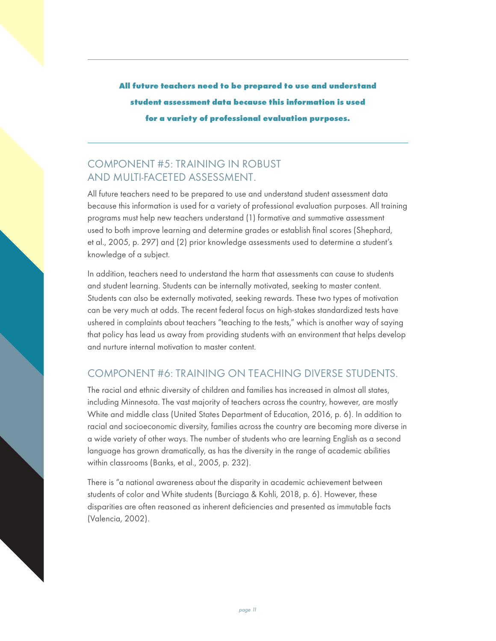**All future teachers need to be prepared to use and understand student assessment data because this information is used for a variety of professional evaluation purposes.**

#### COMPONENT #5: TRAINING IN ROBUST AND MULTI-FACETED ASSESSMENT.

All future teachers need to be prepared to use and understand student assessment data because this information is used for a variety of professional evaluation purposes. All training programs must help new teachers understand (1) formative and summative assessment used to both improve learning and determine grades or establish final scores (Shephard, et al., 2005, p. 297) and (2) prior knowledge assessments used to determine a student's knowledge of a subject.

In addition, teachers need to understand the harm that assessments can cause to students and student learning. Students can be internally motivated, seeking to master content. Students can also be externally motivated, seeking rewards. These two types of motivation can be very much at odds. The recent federal focus on high-stakes standardized tests have ushered in complaints about teachers "teaching to the tests," which is another way of saying that policy has lead us away from providing students with an environment that helps develop and nurture internal motivation to master content.

#### COMPONENT #6: TRAINING ON TEACHING DIVERSE STUDENTS.

The racial and ethnic diversity of children and families has increased in almost all states, including Minnesota. The vast majority of teachers across the country, however, are mostly White and middle class (United States Department of Education, 2016, p. 6). In addition to racial and socioeconomic diversity, families across the country are becoming more diverse in a wide variety of other ways. The number of students who are learning English as a second language has grown dramatically, as has the diversity in the range of academic abilities within classrooms (Banks, et al., 2005, p. 232).

There is "a national awareness about the disparity in academic achievement between students of color and White students (Burciaga & Kohli, 2018, p. 6). However, these disparities are often reasoned as inherent deficiencies and presented as immutable facts (Valencia, 2002).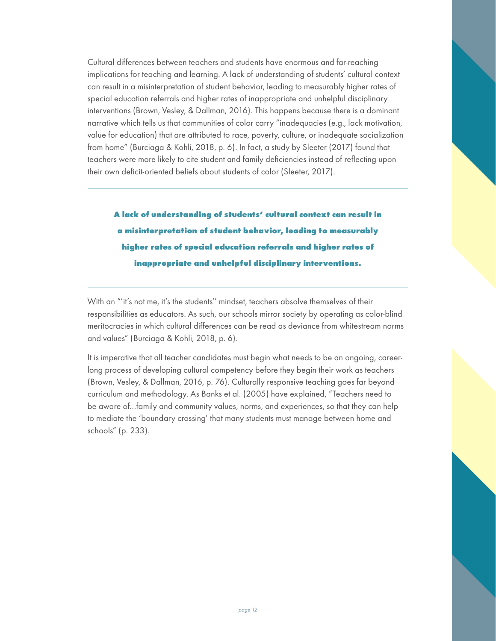Cultural differences between teachers and students have enormous and far-reaching implications for teaching and learning. A lack of understanding of students' cultural context can result in a misinterpretation of student behavior, leading to measurably higher rates of special education referrals and higher rates of inappropriate and unhelpful disciplinary interventions (Brown, Vesley, & Dallman, 2016). This happens because there is a dominant narrative which tells us that communities of color carry "inadequacies (e.g., lack motivation, value for education) that are attributed to race, poverty, culture, or inadequate socialization from home" (Burciaga & Kohli, 2018, p. 6). In fact, a study by Sleeter (2017) found that teachers were more likely to cite student and family deficiencies instead of reflecting upon their own deficit-oriented beliefs about students of color (Sleeter, 2017).

**A lack of understanding of students' cultural context can result in a misinterpretation of student behavior, leading to measurably higher rates of special education referrals and higher rates of inappropriate and unhelpful disciplinary interventions.**

With an "'it's not me, it's the students'' mindset, teachers absolve themselves of their responsibilities as educators. As such, our schools mirror society by operating as color-blind meritocracies in which cultural differences can be read as deviance from whitestream norms and values" (Burciaga & Kohli, 2018, p. 6).

It is imperative that all teacher candidates must begin what needs to be an ongoing, careerlong process of developing cultural competency before they begin their work as teachers (Brown, Vesley, & Dallman, 2016, p. 76). Culturally responsive teaching goes far beyond curriculum and methodology. As Banks et al. (2005) have explained, "Teachers need to be aware of…family and community values, norms, and experiences, so that they can help to mediate the 'boundary crossing' that many students must manage between home and schools" (p. 233).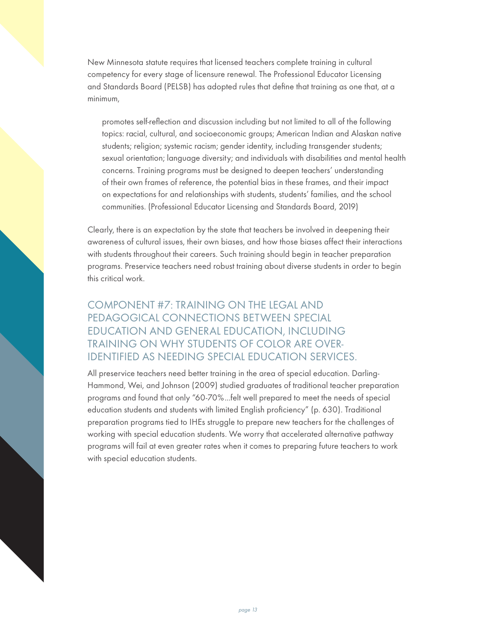New Minnesota statute requires that licensed teachers complete training in cultural competency for every stage of licensure renewal. The Professional Educator Licensing and Standards Board (PELSB) has adopted rules that define that training as one that, at a minimum,

promotes self-reflection and discussion including but not limited to all of the following topics: racial, cultural, and socioeconomic groups; American Indian and Alaskan native students; religion; systemic racism; gender identity, including transgender students; sexual orientation; language diversity; and individuals with disabilities and mental health concerns. Training programs must be designed to deepen teachers' understanding of their own frames of reference, the potential bias in these frames, and their impact on expectations for and relationships with students, students' families, and the school communities. (Professional Educator Licensing and Standards Board, 2019)

Clearly, there is an expectation by the state that teachers be involved in deepening their awareness of cultural issues, their own biases, and how those biases affect their interactions with students throughout their careers. Such training should begin in teacher preparation programs. Preservice teachers need robust training about diverse students in order to begin this critical work.

### COMPONENT #7: TRAINING ON THE LEGAL AND PEDAGOGICAL CONNECTIONS BETWEEN SPECIAL EDUCATION AND GENERAL EDUCATION, INCLUDING TRAINING ON WHY STUDENTS OF COLOR ARE OVER-IDENTIFIED AS NEEDING SPECIAL EDUCATION SERVICES.

All preservice teachers need better training in the area of special education. Darling-Hammond, Wei, and Johnson (2009) studied graduates of traditional teacher preparation programs and found that only "60-70%...felt well prepared to meet the needs of special education students and students with limited English proficiency" (p. 630). Traditional preparation programs tied to IHEs struggle to prepare new teachers for the challenges of working with special education students. We worry that accelerated alternative pathway programs will fail at even greater rates when it comes to preparing future teachers to work with special education students.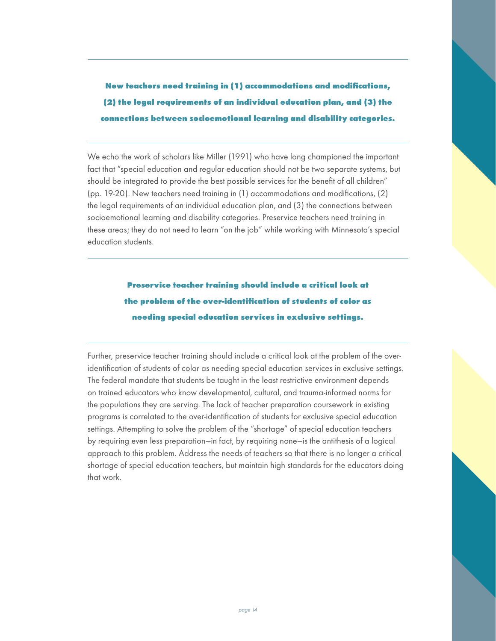**New teachers need training in (1) accommodations and modifications, (2) the legal requirements of an individual education plan, and (3) the connections between socioemotional learning and disability categories.**

We echo the work of scholars like Miller (1991) who have long championed the important fact that "special education and regular education should not be two separate systems, but should be integrated to provide the best possible services for the benefit of all children" (pp. 19-20). New teachers need training in (1) accommodations and modifications, (2) the legal requirements of an individual education plan, and (3) the connections between socioemotional learning and disability categories. Preservice teachers need training in these areas; they do not need to learn "on the job" while working with Minnesota's special education students.

> **Preservice teacher training should include a critical look at the problem of the over-identification of students of color as needing special education services in exclusive settings.**

Further, preservice teacher training should include a critical look at the problem of the overidentification of students of color as needing special education services in exclusive settings. The federal mandate that students be taught in the least restrictive environment depends on trained educators who know developmental, cultural, and trauma-informed norms for the populations they are serving. The lack of teacher preparation coursework in existing programs is correlated to the over-identification of students for exclusive special education settings. Attempting to solve the problem of the "shortage" of special education teachers by requiring even less preparation—in fact, by requiring none—is the antithesis of a logical approach to this problem. Address the needs of teachers so that there is no longer a critical shortage of special education teachers, but maintain high standards for the educators doing that work.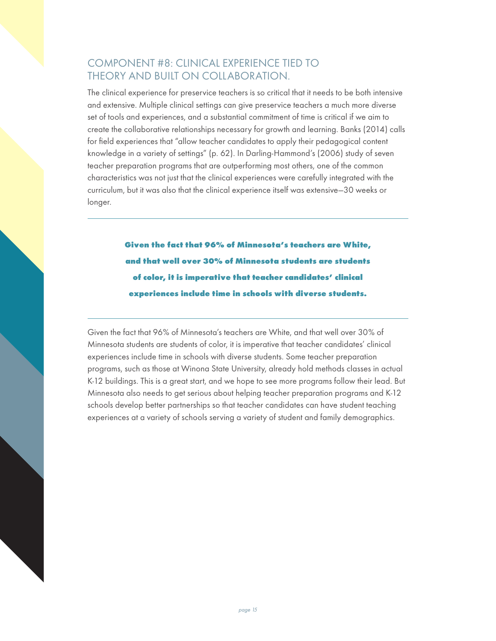### COMPONENT #8: CLINICAL EXPERIENCE TIED TO THEORY AND BUILT ON COLLABORATION.

The clinical experience for preservice teachers is so critical that it needs to be both intensive and extensive. Multiple clinical settings can give preservice teachers a much more diverse set of tools and experiences, and a substantial commitment of time is critical if we aim to create the collaborative relationships necessary for growth and learning. Banks (2014) calls for field experiences that "allow teacher candidates to apply their pedagogical content knowledge in a variety of settings" (p. 62). In Darling-Hammond's (2006) study of seven teacher preparation programs that are outperforming most others, one of the common characteristics was not just that the clinical experiences were carefully integrated with the curriculum, but it was also that the clinical experience itself was extensive—30 weeks or longer.

> **Given the fact that 96% of Minnesota's teachers are White, and that well over 30% of Minnesota students are students of color, it is imperative that teacher candidates' clinical experiences include time in schools with diverse students.**

Given the fact that 96% of Minnesota's teachers are White, and that well over 30% of Minnesota students are students of color, it is imperative that teacher candidates' clinical experiences include time in schools with diverse students. Some teacher preparation programs, such as those at Winona State University, already hold methods classes in actual K-12 buildings. This is a great start, and we hope to see more programs follow their lead. But Minnesota also needs to get serious about helping teacher preparation programs and K-12 schools develop better partnerships so that teacher candidates can have student teaching experiences at a variety of schools serving a variety of student and family demographics.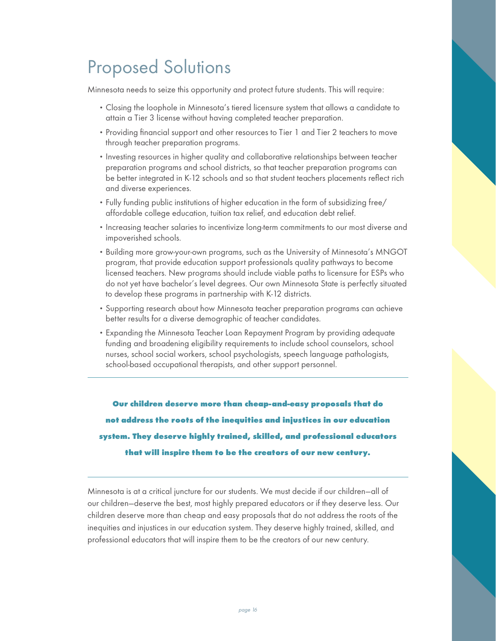## Proposed Solutions

Minnesota needs to seize this opportunity and protect future students. This will require:

- Closing the loophole in Minnesota's tiered licensure system that allows a candidate to attain a Tier 3 license without having completed teacher preparation.
- •Providing financial support and other resources to Tier 1 and Tier 2 teachers to move through teacher preparation programs.
- •Investing resources in higher quality and collaborative relationships between teacher preparation programs and school districts, so that teacher preparation programs can be better integrated in K-12 schools and so that student teachers placements reflect rich and diverse experiences.
- •Fully funding public institutions of higher education in the form of subsidizing free/ affordable college education, tuition tax relief, and education debt relief.
- •Increasing teacher salaries to incentivize long-term commitments to our most diverse and impoverished schools.
- •Building more grow-your-own programs, such as the University of Minnesota's MNGOT program, that provide education support professionals quality pathways to become licensed teachers. New programs should include viable paths to licensure for ESPs who do not yet have bachelor's level degrees. Our own Minnesota State is perfectly situated to develop these programs in partnership with K-12 districts.
- •Supporting research about how Minnesota teacher preparation programs can achieve better results for a diverse demographic of teacher candidates.
- •Expanding the Minnesota Teacher Loan Repayment Program by providing adequate funding and broadening eligibility requirements to include school counselors, school nurses, school social workers, school psychologists, speech language pathologists, school-based occupational therapists, and other support personnel.

**Our children deserve more than cheap-and-easy proposals that do not address the roots of the inequities and injustices in our education system. They deserve highly trained, skilled, and professional educators that will inspire them to be the creators of our new century.**

Minnesota is at a critical juncture for our students. We must decide if our children—all of our children—deserve the best, most highly prepared educators or if they deserve less. Our children deserve more than cheap and easy proposals that do not address the roots of the inequities and injustices in our education system. They deserve highly trained, skilled, and professional educators that will inspire them to be the creators of our new century.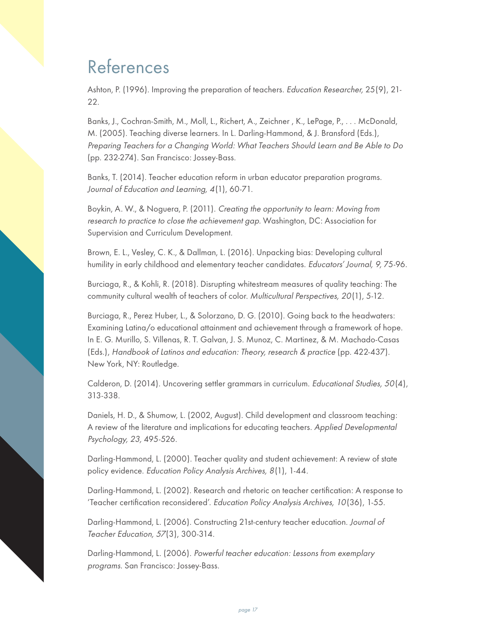### References

Ashton, P. (1996). Improving the preparation of teachers. Education Researcher, 25(9), 21- 22.

Banks, J., Cochran-Smith, M., Moll, L., Richert, A., Zeichner , K., LePage, P., . . . McDonald, M. (2005). Teaching diverse learners. In L. Darling-Hammond, & J. Bransford (Eds.), Preparing Teachers for a Changing World: What Teachers Should Learn and Be Able to Do (pp. 232-274). San Francisco: Jossey-Bass.

Banks, T. (2014). Teacher education reform in urban educator preparation programs. Journal of Education and Learning, 4(1), 60-71.

Boykin, A. W., & Noguera, P. (2011). Creating the opportunity to learn: Moving from research to practice to close the achievement gap. Washington, DC: Association for Supervision and Curriculum Development.

Brown, E. L., Vesley, C. K., & Dallman, L. (2016). Unpacking bias: Developing cultural humility in early childhood and elementary teacher candidates. Educators' Journal, 9, 75-96.

Burciaga, R., & Kohli, R. (2018). Disrupting whitestream measures of quality teaching: The community cultural wealth of teachers of color. Multicultural Perspectives, 20(1), 5-12.

Burciaga, R., Perez Huber, L., & Solorzano, D. G. (2010). Going back to the headwaters: Examining Latina/o educational attainment and achievement through a framework of hope. In E. G. Murillo, S. Villenas, R. T. Galvan, J. S. Munoz, C. Martinez, & M. Machado-Casas (Eds.), Handbook of Latinos and education: Theory, research & practice (pp. 422-437). New York, NY: Routledge.

Calderon, D. (2014). Uncovering settler grammars in curriculum. Educational Studies, 50(4), 313-338.

Daniels, H. D., & Shumow, L. (2002, August). Child development and classroom teaching: A review of the literature and implications for educating teachers. Applied Developmental Psychology, 23, 495-526.

Darling-Hammond, L. (2000). Teacher quality and student achievement: A review of state policy evidence. Education Policy Analysis Archives, 8(1), 1-44.

Darling-Hammond, L. (2002). Research and rhetoric on teacher certification: A response to 'Teacher certification reconsidered'. Education Policy Analysis Archives, 10(36), 1-55.

Darling-Hammond, L. (2006). Constructing 21st-century teacher education. Journal of Teacher Education, 57(3), 300-314.

Darling-Hammond, L. (2006). Powerful teacher education: Lessons from exemplary programs. San Francisco: Jossey-Bass.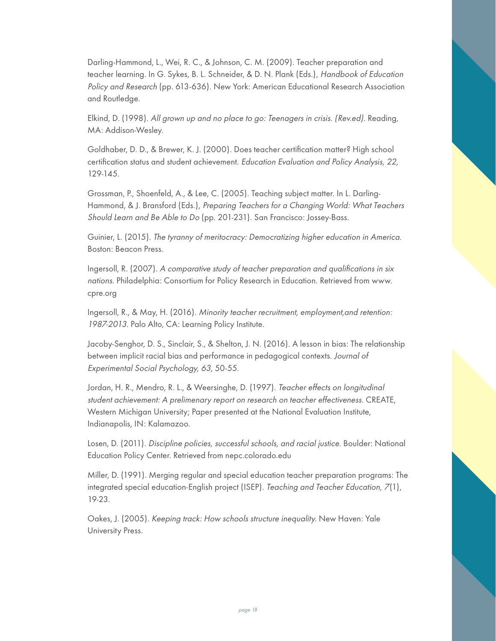Darling-Hammond, L., Wei, R. C., & Johnson, C. M. (2009). Teacher preparation and teacher learning. In G. Sykes, B. L. Schneider, & D. N. Plank (Eds.), Handbook of Education Policy and Research (pp. 613-636). New York: American Educational Research Association and Routledge.

Elkind, D. (1998). All grown up and no place to go: Teenagers in crisis. (Rev.ed). Reading, MA: Addison-Wesley.

Goldhaber, D. D., & Brewer, K. J. (2000). Does teacher certification matter? High school certification status and student achievement. Education Evaluation and Policy Analysis, 22, 129-145.

Grossman, P., Shoenfeld, A., & Lee, C. (2005). Teaching subject matter. In L. Darling-Hammond, & J. Bransford (Eds.), Preparing Teachers for a Changing World: What Teachers Should Learn and Be Able to Do (pp. 201-231). San Francisco: Jossey-Bass.

Guinier, L. (2015). The tyranny of meritocracy: Democratizing higher education in America. Boston: Beacon Press.

Ingersoll, R. (2007). A comparative study of teacher preparation and qualifications in six nations. Philadelphia: Consortium for Policy Research in Education. Retrieved from www. cpre.org

Ingersoll, R., & May, H. (2016). Minority teacher recruitment, employment,and retention: 1987-2013. Palo Alto, CA: Learning Policy Institute.

Jacoby-Senghor, D. S., Sinclair, S., & Shelton, J. N. (2016). A lesson in bias: The relationship between implicit racial bias and performance in pedagogical contexts. Journal of Experimental Social Psychology, 63, 50-55.

Jordan, H. R., Mendro, R. L., & Weersinghe, D. (1997). Teacher effects on longitudinal student achievement: A prelimenary report on research on teacher effectiveness. CREATE, Western Michigan University; Paper presented at the National Evaluation Institute, Indianapolis, IN: Kalamazoo.

Losen, D. (2011). Discipline policies, successful schools, and racial justice. Boulder: National Education Policy Center. Retrieved from nepc.colorado.edu

Miller, D. (1991). Merging regular and special education teacher preparation programs: The integrated special education-English project (ISEP). Teaching and Teacher Education, 7(1), 19-23.

Oakes, J. (2005). Keeping track: How schools structure inequality. New Haven: Yale University Press.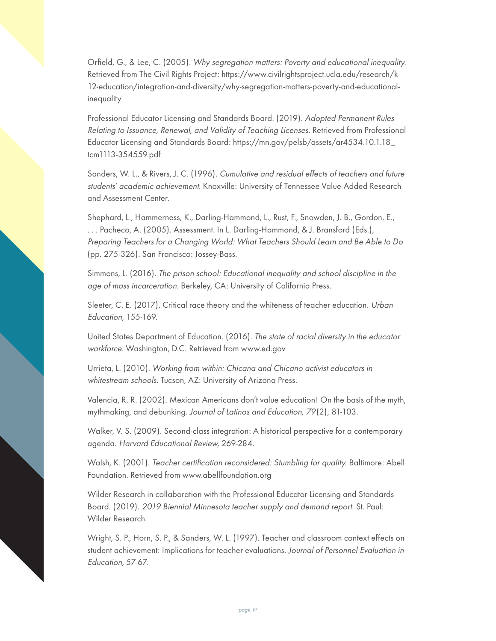Orfield, G., & Lee, C. (2005). Why segregation matters: Poverty and educational inequality. Retrieved from The Civil Rights Project: https://www.civilrightsproject.ucla.edu/research/k-12-education/integration-and-diversity/why-segregation-matters-poverty-and-educationalinequality

Professional Educator Licensing and Standards Board. (2019). Adopted Permanent Rules Relating to Issuance, Renewal, and Validity of Teaching Licenses. Retrieved from Professional Educator Licensing and Standards Board: https://mn.gov/pelsb/assets/ar4534.10.1.18\_ tcm1113-354559.pdf

Sanders, W. L., & Rivers, J. C. (1996). Cumulative and residual effects of teachers and future students' academic achievement. Knoxville: University of Tennessee Value-Added Research and Assessment Center.

Shephard, L., Hammerness, K., Darling-Hammond, L., Rust, F., Snowden, J. B., Gordon, E., . . . Pacheco, A. (2005). Assessment. In L. Darling-Hammond, & J. Bransford (Eds.), Preparing Teachers for a Changing World: What Teachers Should Learn and Be Able to Do (pp. 275-326). San Francisco: Jossey-Bass.

Simmons, L. (2016). The prison school: Educational inequality and school discipline in the age of mass incarceration. Berkeley, CA: University of California Press.

Sleeter, C. E. (2017). Critical race theory and the whiteness of teacher education. Urban Education, 155-169.

United States Department of Education. (2016). The state of racial diversity in the educator workforce. Washington, D.C. Retrieved from www.ed.gov

Urrieta, L. (2010). Working from within: Chicana and Chicano activist educators in whitestream schools. Tucson, AZ: University of Arizona Press.

Valencia, R. R. (2002). Mexican Americans don't value education! On the basis of the myth, mythmaking, and debunking. Journal of Latinos and Education, 79(2), 81-103.

Walker, V. S. (2009). Second-class integration: A historical perspective for a contemporary agenda. Harvard Educational Review, 269-284.

Walsh, K. (2001). Teacher certification reconsidered: Stumbling for quality. Baltimore: Abell Foundation. Retrieved from www.abellfoundation.org

Wilder Research in collaboration with the Professional Educator Licensing and Standards Board. (2019). 2019 Biennial Minnesota teacher supply and demand report. St. Paul: Wilder Research.

Wright, S. P., Horn, S. P., & Sanders, W. L. (1997). Teacher and classroom context effects on student achievement: Implications for teacher evaluations. Journal of Personnel Evaluation in Education, 57-67.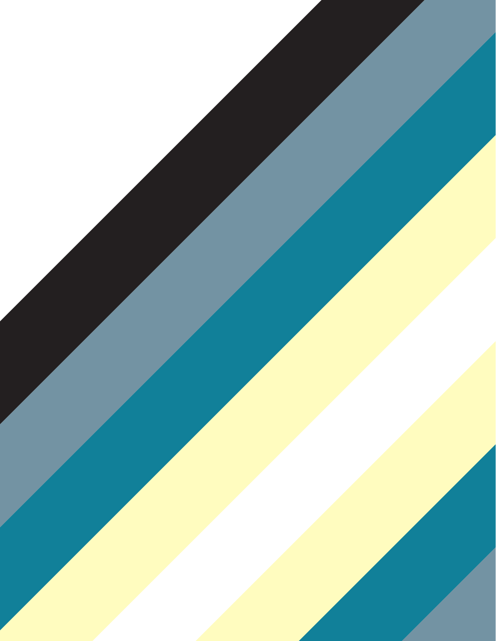